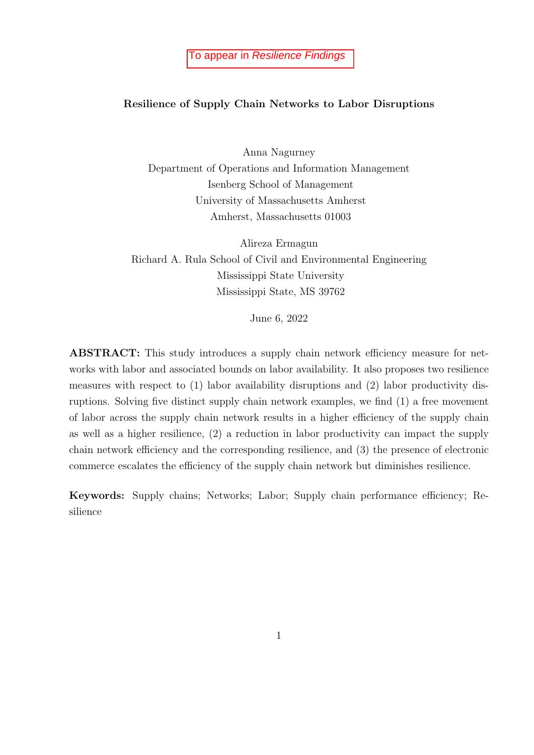#### Resilience of Supply Chain Networks to Labor Disruptions

Anna Nagurney Department of Operations and Information Management Isenberg School of Management University of Massachusetts Amherst Amherst, Massachusetts 01003

Alireza Ermagun Richard A. Rula School of Civil and Environmental Engineering Mississippi State University Mississippi State, MS 39762

June 6, 2022

ABSTRACT: This study introduces a supply chain network efficiency measure for networks with labor and associated bounds on labor availability. It also proposes two resilience measures with respect to (1) labor availability disruptions and (2) labor productivity disruptions. Solving five distinct supply chain network examples, we find (1) a free movement of labor across the supply chain network results in a higher efficiency of the supply chain as well as a higher resilience, (2) a reduction in labor productivity can impact the supply chain network efficiency and the corresponding resilience, and (3) the presence of electronic commerce escalates the efficiency of the supply chain network but diminishes resilience.

Keywords: Supply chains; Networks; Labor; Supply chain performance efficiency; Resilience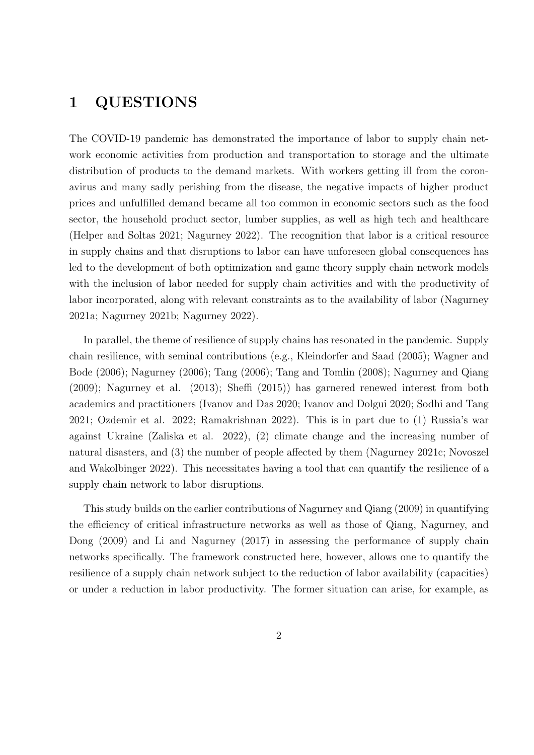## 1 QUESTIONS

The COVID-19 pandemic has demonstrated the importance of labor to supply chain network economic activities from production and transportation to storage and the ultimate distribution of products to the demand markets. With workers getting ill from the coronavirus and many sadly perishing from the disease, the negative impacts of higher product prices and unfulfilled demand became all too common in economic sectors such as the food sector, the household product sector, lumber supplies, as well as high tech and healthcare (Helper and Soltas 2021; Nagurney 2022). The recognition that labor is a critical resource in supply chains and that disruptions to labor can have unforeseen global consequences has led to the development of both optimization and game theory supply chain network models with the inclusion of labor needed for supply chain activities and with the productivity of labor incorporated, along with relevant constraints as to the availability of labor (Nagurney 2021a; Nagurney 2021b; Nagurney 2022).

In parallel, the theme of resilience of supply chains has resonated in the pandemic. Supply chain resilience, with seminal contributions (e.g., Kleindorfer and Saad (2005); Wagner and Bode (2006); Nagurney (2006); Tang (2006); Tang and Tomlin (2008); Nagurney and Qiang (2009); Nagurney et al. (2013); Sheffi (2015)) has garnered renewed interest from both academics and practitioners (Ivanov and Das 2020; Ivanov and Dolgui 2020; Sodhi and Tang 2021; Ozdemir et al. 2022; Ramakrishnan 2022). This is in part due to (1) Russia's war against Ukraine (Zaliska et al. 2022), (2) climate change and the increasing number of natural disasters, and (3) the number of people affected by them (Nagurney 2021c; Novoszel and Wakolbinger 2022). This necessitates having a tool that can quantify the resilience of a supply chain network to labor disruptions.

This study builds on the earlier contributions of Nagurney and Qiang (2009) in quantifying the efficiency of critical infrastructure networks as well as those of Qiang, Nagurney, and Dong (2009) and Li and Nagurney (2017) in assessing the performance of supply chain networks specifically. The framework constructed here, however, allows one to quantify the resilience of a supply chain network subject to the reduction of labor availability (capacities) or under a reduction in labor productivity. The former situation can arise, for example, as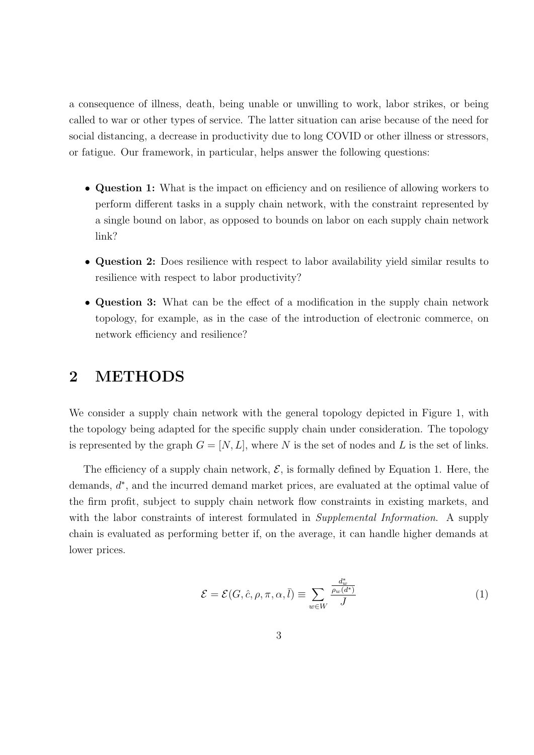a consequence of illness, death, being unable or unwilling to work, labor strikes, or being called to war or other types of service. The latter situation can arise because of the need for social distancing, a decrease in productivity due to long COVID or other illness or stressors, or fatigue. Our framework, in particular, helps answer the following questions:

- Question 1: What is the impact on efficiency and on resilience of allowing workers to perform different tasks in a supply chain network, with the constraint represented by a single bound on labor, as opposed to bounds on labor on each supply chain network link?
- Question 2: Does resilience with respect to labor availability yield similar results to resilience with respect to labor productivity?
- Question 3: What can be the effect of a modification in the supply chain network topology, for example, as in the case of the introduction of electronic commerce, on network efficiency and resilience?

#### 2 METHODS

We consider a supply chain network with the general topology depicted in Figure 1, with the topology being adapted for the specific supply chain under consideration. The topology is represented by the graph  $G = [N, L]$ , where N is the set of nodes and L is the set of links.

The efficiency of a supply chain network,  $\mathcal{E}$ , is formally defined by Equation 1. Here, the demands,  $d^*$ , and the incurred demand market prices, are evaluated at the optimal value of the firm profit, subject to supply chain network flow constraints in existing markets, and with the labor constraints of interest formulated in *Supplemental Information*. A supply chain is evaluated as performing better if, on the average, it can handle higher demands at lower prices.

$$
\mathcal{E} = \mathcal{E}(G, \hat{c}, \rho, \pi, \alpha, \bar{l}) \equiv \sum_{w \in W} \frac{\frac{d_w^*}{\rho_w(d^*)}}{J} \tag{1}
$$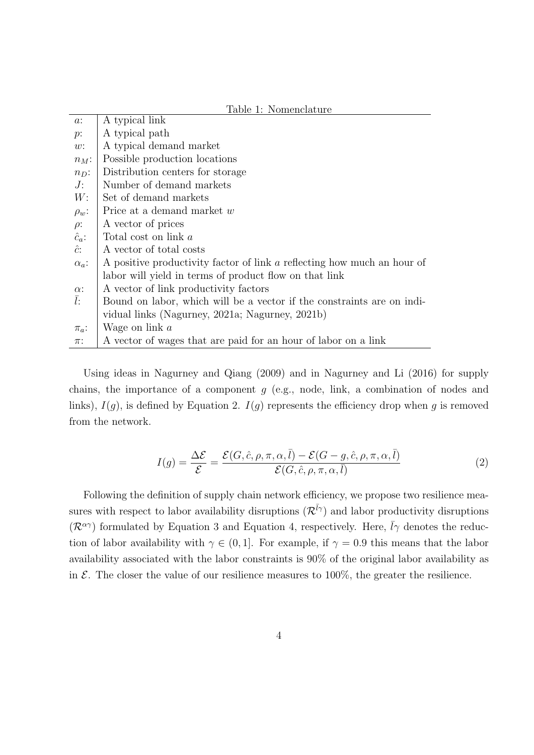|               | Table 1: Nomenclature                                                   |  |  |  |  |  |
|---------------|-------------------------------------------------------------------------|--|--|--|--|--|
| $a$ :         | A typical link                                                          |  |  |  |  |  |
| $p$ :         | A typical path                                                          |  |  |  |  |  |
| w:            | A typical demand market                                                 |  |  |  |  |  |
| $n_M$ :       | Possible production locations                                           |  |  |  |  |  |
| $n_D$ :       | Distribution centers for storage                                        |  |  |  |  |  |
| $J$ :         | Number of demand markets                                                |  |  |  |  |  |
| W:            | Set of demand markets                                                   |  |  |  |  |  |
| $\rho_w$ :    | Price at a demand market w                                              |  |  |  |  |  |
| $\rho$ :      | A vector of prices                                                      |  |  |  |  |  |
| $\hat{c}_a$ : | Total cost on link a                                                    |  |  |  |  |  |
| $\hat{c}$ :   | A vector of total costs                                                 |  |  |  |  |  |
| $\alpha_a$ :  | A positive productivity factor of link a reflecting how much an hour of |  |  |  |  |  |
|               | labor will yield in terms of product flow on that link                  |  |  |  |  |  |
| $\alpha$ :    | A vector of link productivity factors                                   |  |  |  |  |  |
| $\bar{l}$ :   | Bound on labor, which will be a vector if the constraints are on indi-  |  |  |  |  |  |
|               | vidual links (Nagurney, 2021a; Nagurney, 2021b)                         |  |  |  |  |  |
| $\pi_a$ :     | Wage on link $a$                                                        |  |  |  |  |  |
| $\pi$ :       | A vector of wages that are paid for an hour of labor on a link          |  |  |  |  |  |

Using ideas in Nagurney and Qiang (2009) and in Nagurney and Li (2016) for supply chains, the importance of a component  $g$  (e.g., node, link, a combination of nodes and links),  $I(g)$ , is defined by Equation 2.  $I(g)$  represents the efficiency drop when g is removed from the network.

$$
I(g) = \frac{\Delta \mathcal{E}}{\mathcal{E}} = \frac{\mathcal{E}(G, \hat{c}, \rho, \pi, \alpha, \bar{l}) - \mathcal{E}(G - g, \hat{c}, \rho, \pi, \alpha, \bar{l})}{\mathcal{E}(G, \hat{c}, \rho, \pi, \alpha, \bar{l})}
$$
(2)

Following the definition of supply chain network efficiency, we propose two resilience measures with respect to labor availability disruptions  $(\mathcal{R}^{\bar{l}\gamma})$  and labor productivity disruptions  $(\mathcal{R}^{\alpha\gamma})$  formulated by Equation 3 and Equation 4, respectively. Here,  $\bar{l}\gamma$  denotes the reduction of labor availability with  $\gamma \in (0, 1]$ . For example, if  $\gamma = 0.9$  this means that the labor availability associated with the labor constraints is 90% of the original labor availability as in  $\mathcal E$ . The closer the value of our resilience measures to 100%, the greater the resilience.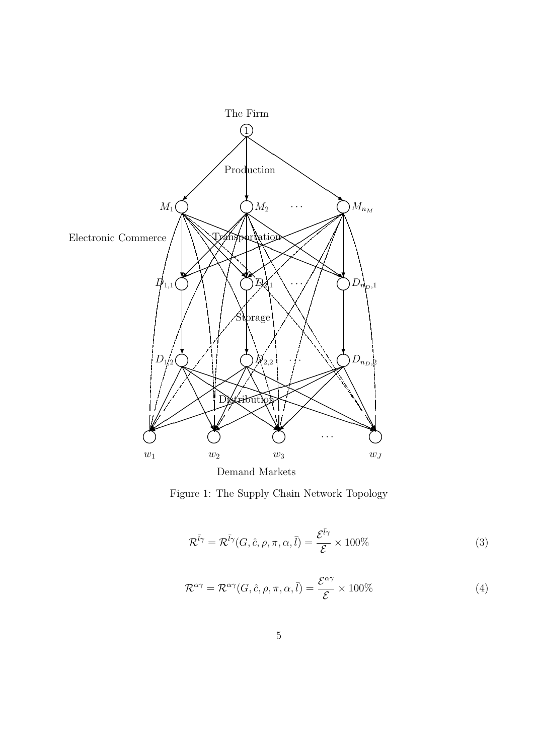

Figure 1: The Supply Chain Network Topology

$$
\mathcal{R}^{\bar{l}\gamma} = \mathcal{R}^{\bar{l}\gamma}(G, \hat{c}, \rho, \pi, \alpha, \bar{l}) = \frac{\mathcal{E}^{\bar{l}\gamma}}{\mathcal{E}} \times 100\%
$$
\n(3)

$$
\mathcal{R}^{\alpha\gamma} = \mathcal{R}^{\alpha\gamma}(G, \hat{c}, \rho, \pi, \alpha, \bar{l}) = \frac{\mathcal{E}^{\alpha\gamma}}{\mathcal{E}} \times 100\%
$$
 (4)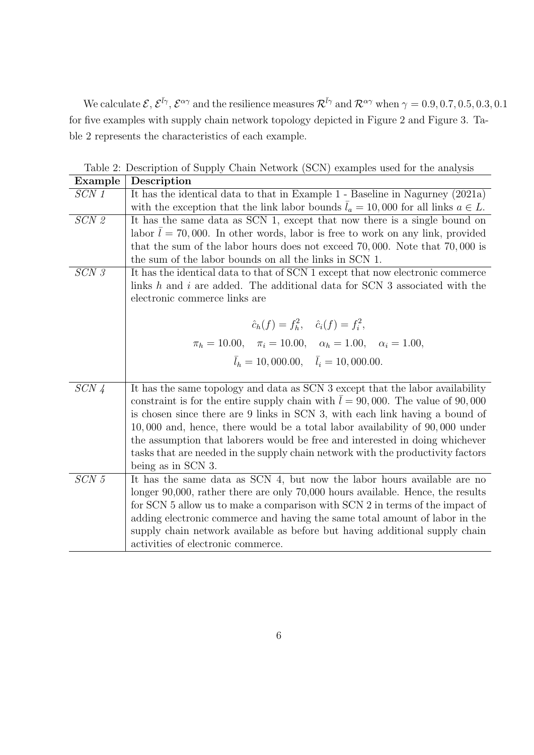We calculate  $\mathcal{E}, \mathcal{E}^{\bar{l}\gamma}, \mathcal{E}^{\alpha\gamma}$  and the resilience measures  $\mathcal{R}^{\bar{l}\gamma}$  and  $\mathcal{R}^{\alpha\gamma}$  when  $\gamma = 0.9, 0.7, 0.5, 0.3, 0.1$ for five examples with supply chain network topology depicted in Figure 2 and Figure 3. Table 2 represents the characteristics of each example.

| Example       | Description                                                                             |  |  |  |  |  |  |
|---------------|-----------------------------------------------------------------------------------------|--|--|--|--|--|--|
| SCN 1         | It has the identical data to that in Example 1 - Baseline in Nagurney (2021a)           |  |  |  |  |  |  |
|               | with the exception that the link labor bounds $l_a = 10,000$ for all links $a \in L$ .  |  |  |  |  |  |  |
| SCN 2         | It has the same data as SCN 1, except that now there is a single bound on               |  |  |  |  |  |  |
|               | labor $\bar{l} = 70,000$ . In other words, labor is free to work on any link, provided  |  |  |  |  |  |  |
|               | that the sum of the labor hours does not exceed $70,000$ . Note that $70,000$ is        |  |  |  |  |  |  |
|               | the sum of the labor bounds on all the links in SCN 1.                                  |  |  |  |  |  |  |
| SCN 3         | It has the identical data to that of SCN 1 except that now electronic commerce          |  |  |  |  |  |  |
|               | links h and i are added. The additional data for SCN 3 associated with the              |  |  |  |  |  |  |
|               | electronic commerce links are                                                           |  |  |  |  |  |  |
|               |                                                                                         |  |  |  |  |  |  |
|               | $\hat{c}_h(f) = f_h^2, \quad \hat{c}_i(f) = f_i^2,$                                     |  |  |  |  |  |  |
|               | $\pi_h = 10.00, \quad \pi_i = 10.00, \quad \alpha_h = 1.00, \quad \alpha_i = 1.00,$     |  |  |  |  |  |  |
|               | $\overline{l}_h = 10,000.00, \quad \overline{l}_i = 10,000.00.$                         |  |  |  |  |  |  |
|               |                                                                                         |  |  |  |  |  |  |
| $SCN\sqrt{4}$ | It has the same topology and data as SCN 3 except that the labor availability           |  |  |  |  |  |  |
|               | constraint is for the entire supply chain with $\bar{l} = 90,000$ . The value of 90,000 |  |  |  |  |  |  |
|               | is chosen since there are 9 links in SCN 3, with each link having a bound of            |  |  |  |  |  |  |
|               | $10,000$ and, hence, there would be a total labor availability of $90,000$ under        |  |  |  |  |  |  |
|               | the assumption that laborers would be free and interested in doing whichever            |  |  |  |  |  |  |
|               | tasks that are needed in the supply chain network with the productivity factors         |  |  |  |  |  |  |
|               | being as in SCN 3.                                                                      |  |  |  |  |  |  |
| SCN 5         | It has the same data as SCN 4, but now the labor hours available are no                 |  |  |  |  |  |  |
|               | longer 90,000, rather there are only 70,000 hours available. Hence, the results         |  |  |  |  |  |  |
|               | for SCN 5 allow us to make a comparison with SCN 2 in terms of the impact of            |  |  |  |  |  |  |
|               | adding electronic commerce and having the same total amount of labor in the             |  |  |  |  |  |  |
|               | supply chain network available as before but having additional supply chain             |  |  |  |  |  |  |
|               | activities of electronic commerce.                                                      |  |  |  |  |  |  |

Table 2: Description of Supply Chain Network (SCN) examples used for the analysis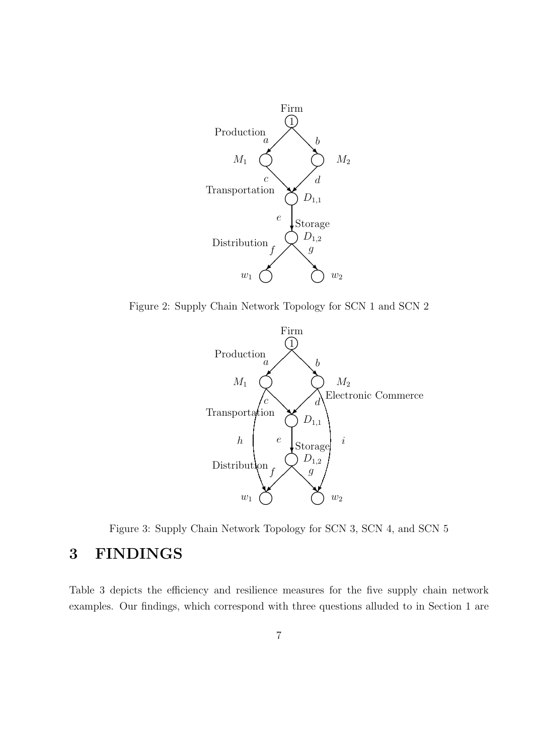

Figure 2: Supply Chain Network Topology for SCN 1 and SCN 2



Figure 3: Supply Chain Network Topology for SCN 3, SCN 4, and SCN 5

# 3 FINDINGS

Table 3 depicts the efficiency and resilience measures for the five supply chain network examples. Our findings, which correspond with three questions alluded to in Section 1 are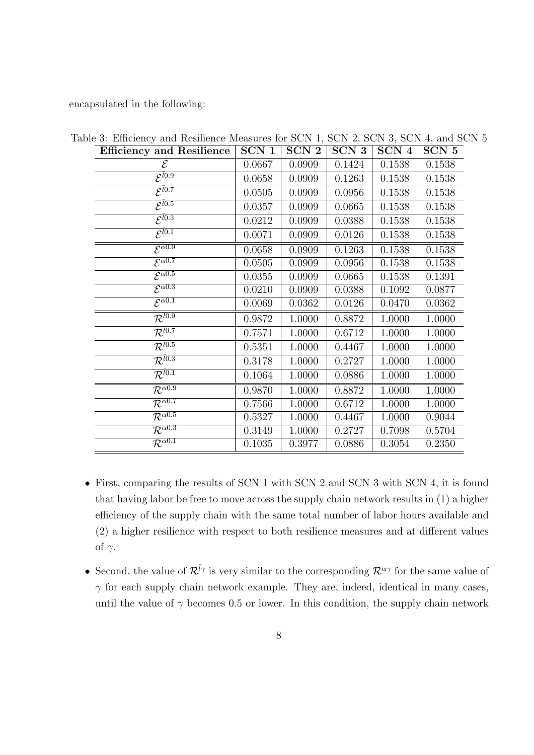encapsulated in the following:

| <b>Efficiency and Resilience</b>      | SCN 1  | SCN <sub>2</sub> | SCN 3  | SCN 4  | SCN 5  |
|---------------------------------------|--------|------------------|--------|--------|--------|
| $\mathcal E$                          | 0.0667 | 0.0909           | 0.1424 | 0.1538 | 0.1538 |
| $\overline{\mathcal{E}^{l0.9}}$       | 0.0658 | 0.0909           | 0.1263 | 0.1538 | 0.1538 |
| $\overline{\mathcal{E}^{l0.7}}$       | 0.0505 | 0.0909           | 0.0956 | 0.1538 | 0.1538 |
| $\overline{\mathcal{E}^{l0.5}}$       | 0.0357 | 0.0909           | 0.0665 | 0.1538 | 0.1538 |
| $\mathcal{E}^{\bar l 0.3}$            | 0.0212 | 0.0909           | 0.0388 | 0.1538 | 0.1538 |
| $\overline{\mathcal{E}^{l0.1}}$       | 0.0071 | 0.0909           | 0.0126 | 0.1538 | 0.1538 |
| $\overline{\mathcal{E}^{\alpha 0.9}}$ | 0.0658 | 0.0909           | 0.1263 | 0.1538 | 0.1538 |
| $\overline{\mathcal{E}^{\alpha 0.7}}$ | 0.0505 | 0.0909           | 0.0956 | 0.1538 | 0.1538 |
| $\overline{\mathcal{E}^{\alpha 0.5}}$ | 0.0355 | 0.0909           | 0.0665 | 0.1538 | 0.1391 |
| $\overline{\mathcal{E}^{\alpha 0.3}}$ | 0.0210 | 0.0909           | 0.0388 | 0.1092 | 0.0877 |
| $\overline{\mathcal{E}^{\alpha 0.1}}$ | 0.0069 | 0.0362           | 0.0126 | 0.0470 | 0.0362 |
| $\overline{\mathcal{R}^{l0.9}}$       | 0.9872 | 1.0000           | 0.8872 | 1.0000 | 1.0000 |
| $\overline{\mathcal{R}^{l0.7}}$       | 0.7571 | 1.0000           | 0.6712 | 1.0000 | 1.0000 |
| $\overline{\mathcal{R}^{l0.5}}$       | 0.5351 | 1.0000           | 0.4467 | 1.0000 | 1.0000 |
| $\overline{\mathcal{R}^{l0.3}}$       | 0.3178 | 1.0000           | 0.2727 | 1.0000 | 1.0000 |
| $\overline{\mathcal{R}^{l0.1}}$       | 0.1064 | 1.0000           | 0.0886 | 1.0000 | 1.0000 |
| $\overline{\mathcal{R}^{\alpha 0.9}}$ | 0.9870 | 1.0000           | 0.8872 | 1.0000 | 1.0000 |
| $\overline{\mathcal{R}^{\alpha 0.7}}$ | 0.7566 | 1.0000           | 0.6712 | 1.0000 | 1.0000 |
| $\overline{\mathcal{R}^{\alpha 0.5}}$ | 0.5327 | 1.0000           | 0.4467 | 1.0000 | 0.9044 |
| $\overline{\mathcal{R}^{\alpha 0.3}}$ | 0.3149 | 1.0000           | 0.2727 | 0.7098 | 0.5704 |
| $\overline{\mathcal{R}^{\alpha 0.1}}$ | 0.1035 | 0.3977           | 0.0886 | 0.3054 | 0.2350 |

Table 3: Efficiency and Resilience Measures for SCN 1, SCN 2, SCN 3, SCN 4, and SCN 5

- First, comparing the results of SCN 1 with SCN 2 and SCN 3 with SCN 4, it is found that having labor be free to move across the supply chain network results in (1) a higher efficiency of the supply chain with the same total number of labor hours available and (2) a higher resilience with respect to both resilience measures and at different values of  $\gamma$ .
- Second, the value of  $\mathcal{R}^{\bar{l}\gamma}$  is very similar to the corresponding  $\mathcal{R}^{\alpha\gamma}$  for the same value of  $\gamma$  for each supply chain network example. They are, indeed, identical in many cases, until the value of  $\gamma$  becomes 0.5 or lower. In this condition, the supply chain network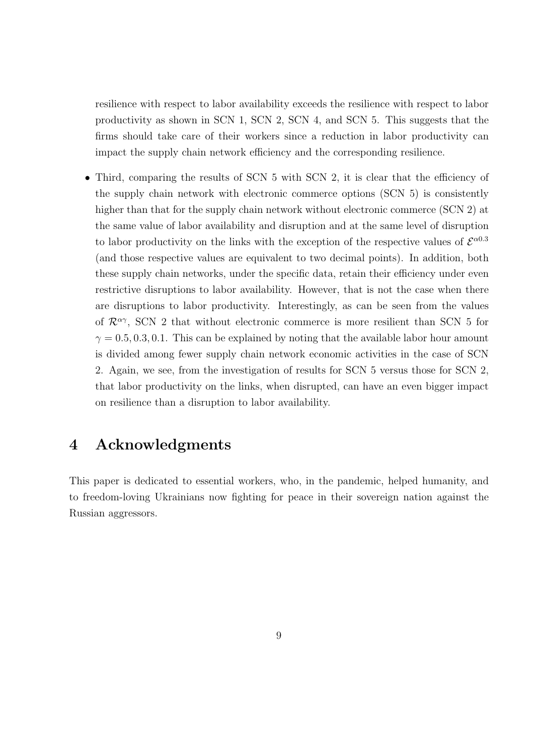resilience with respect to labor availability exceeds the resilience with respect to labor productivity as shown in SCN 1, SCN 2, SCN 4, and SCN 5. This suggests that the firms should take care of their workers since a reduction in labor productivity can impact the supply chain network efficiency and the corresponding resilience.

• Third, comparing the results of SCN 5 with SCN 2, it is clear that the efficiency of the supply chain network with electronic commerce options (SCN 5) is consistently higher than that for the supply chain network without electronic commerce (SCN 2) at the same value of labor availability and disruption and at the same level of disruption to labor productivity on the links with the exception of the respective values of  $\mathcal{E}^{\alpha 0.3}$ (and those respective values are equivalent to two decimal points). In addition, both these supply chain networks, under the specific data, retain their efficiency under even restrictive disruptions to labor availability. However, that is not the case when there are disruptions to labor productivity. Interestingly, as can be seen from the values of  $\mathcal{R}^{\alpha\gamma}$ , SCN 2 that without electronic commerce is more resilient than SCN 5 for  $\gamma = 0.5, 0.3, 0.1$ . This can be explained by noting that the available labor hour amount is divided among fewer supply chain network economic activities in the case of SCN 2. Again, we see, from the investigation of results for SCN 5 versus those for SCN 2, that labor productivity on the links, when disrupted, can have an even bigger impact on resilience than a disruption to labor availability.

## 4 Acknowledgments

This paper is dedicated to essential workers, who, in the pandemic, helped humanity, and to freedom-loving Ukrainians now fighting for peace in their sovereign nation against the Russian aggressors.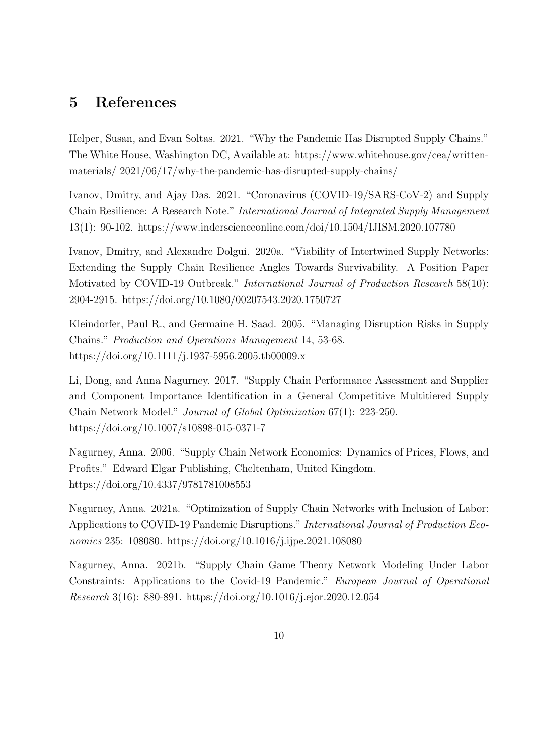### 5 References

Helper, Susan, and Evan Soltas. 2021. "Why the Pandemic Has Disrupted Supply Chains." The White House, Washington DC, Available at: https://www.whitehouse.gov/cea/writtenmaterials/ 2021/06/17/why-the-pandemic-has-disrupted-supply-chains/

Ivanov, Dmitry, and Ajay Das. 2021. "Coronavirus (COVID-19/SARS-CoV-2) and Supply Chain Resilience: A Research Note." International Journal of Integrated Supply Management 13(1): 90-102. https://www.inderscienceonline.com/doi/10.1504/IJISM.2020.107780

Ivanov, Dmitry, and Alexandre Dolgui. 2020a. "Viability of Intertwined Supply Networks: Extending the Supply Chain Resilience Angles Towards Survivability. A Position Paper Motivated by COVID-19 Outbreak." International Journal of Production Research 58(10): 2904-2915. https://doi.org/10.1080/00207543.2020.1750727

Kleindorfer, Paul R., and Germaine H. Saad. 2005. "Managing Disruption Risks in Supply Chains." Production and Operations Management 14, 53-68. https://doi.org/10.1111/j.1937-5956.2005.tb00009.x

Li, Dong, and Anna Nagurney. 2017. "Supply Chain Performance Assessment and Supplier and Component Importance Identification in a General Competitive Multitiered Supply Chain Network Model." Journal of Global Optimization 67(1): 223-250. https://doi.org/10.1007/s10898-015-0371-7

Nagurney, Anna. 2006. "Supply Chain Network Economics: Dynamics of Prices, Flows, and Profits." Edward Elgar Publishing, Cheltenham, United Kingdom. https://doi.org/10.4337/9781781008553

Nagurney, Anna. 2021a. "Optimization of Supply Chain Networks with Inclusion of Labor: Applications to COVID-19 Pandemic Disruptions." International Journal of Production Economics 235: 108080. https://doi.org/10.1016/j.ijpe.2021.108080

Nagurney, Anna. 2021b. "Supply Chain Game Theory Network Modeling Under Labor Constraints: Applications to the Covid-19 Pandemic." European Journal of Operational Research 3(16): 880-891. https://doi.org/10.1016/j.ejor.2020.12.054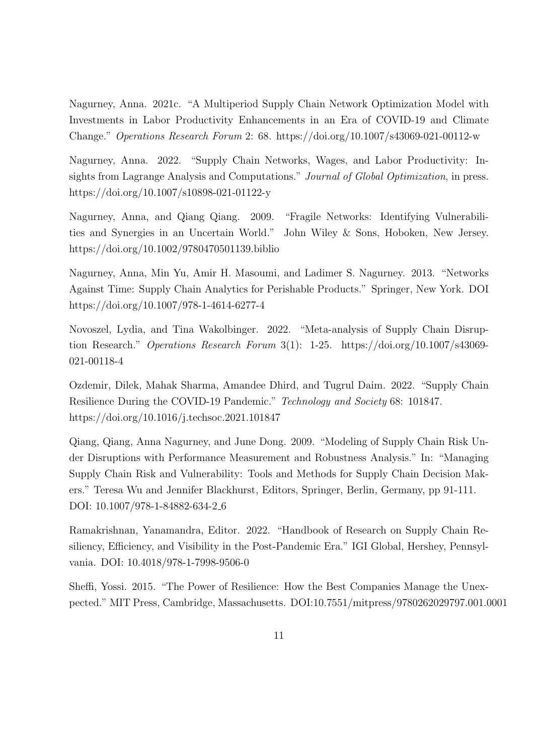Nagurney, Anna. 2021c. "A Multiperiod Supply Chain Network Optimization Model with Investments in Labor Productivity Enhancements in an Era of COVID-19 and Climate Change." Operations Research Forum 2: 68. https://doi.org/10.1007/s43069-021-00112-w

Nagurney, Anna. 2022. "Supply Chain Networks, Wages, and Labor Productivity: Insights from Lagrange Analysis and Computations." Journal of Global Optimization, in press. https://doi.org/10.1007/s10898-021-01122-y

Nagurney, Anna, and Qiang Qiang. 2009. "Fragile Networks: Identifying Vulnerabilities and Synergies in an Uncertain World." John Wiley & Sons, Hoboken, New Jersey. https://doi.org/10.1002/9780470501139.biblio

Nagurney, Anna, Min Yu, Amir H. Masoumi, and Ladimer S. Nagurney. 2013. "Networks Against Time: Supply Chain Analytics for Perishable Products." Springer, New York. DOI https://doi.org/10.1007/978-1-4614-6277-4

Novoszel, Lydia, and Tina Wakolbinger. 2022. "Meta-analysis of Supply Chain Disruption Research." Operations Research Forum 3(1): 1-25. https://doi.org/10.1007/s43069- 021-00118-4

Ozdemir, Dilek, Mahak Sharma, Amandee Dhird, and Tugrul Daim. 2022. "Supply Chain Resilience During the COVID-19 Pandemic." Technology and Society 68: 101847. https://doi.org/10.1016/j.techsoc.2021.101847

Qiang, Qiang, Anna Nagurney, and June Dong. 2009. "Modeling of Supply Chain Risk Under Disruptions with Performance Measurement and Robustness Analysis." In: "Managing Supply Chain Risk and Vulnerability: Tools and Methods for Supply Chain Decision Makers." Teresa Wu and Jennifer Blackhurst, Editors, Springer, Berlin, Germany, pp 91-111. DOI: 10.1007/978-1-84882-634-2 6

Ramakrishnan, Yanamandra, Editor. 2022. "Handbook of Research on Supply Chain Resiliency, Efficiency, and Visibility in the Post-Pandemic Era." IGI Global, Hershey, Pennsylvania. DOI: 10.4018/978-1-7998-9506-0

Sheffi, Yossi. 2015. "The Power of Resilience: How the Best Companies Manage the Unexpected." MIT Press, Cambridge, Massachusetts. DOI:10.7551/mitpress/9780262029797.001.0001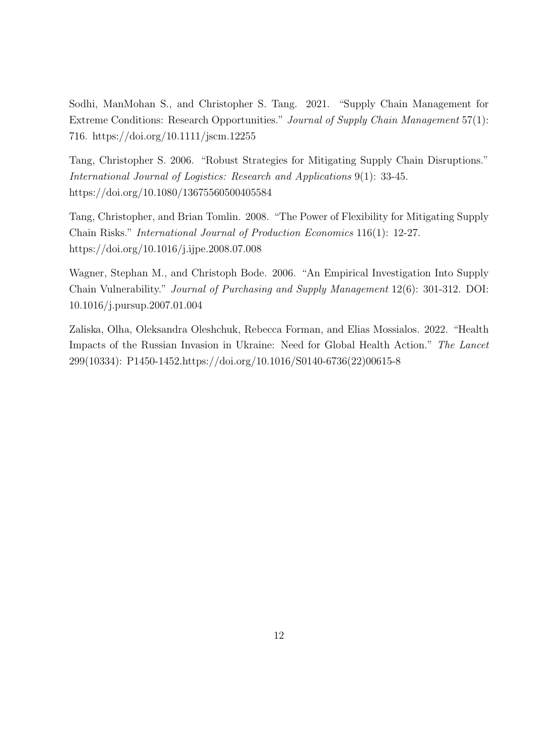Sodhi, ManMohan S., and Christopher S. Tang. 2021. "Supply Chain Management for Extreme Conditions: Research Opportunities." Journal of Supply Chain Management 57(1): 716. https://doi.org/10.1111/jscm.12255

Tang, Christopher S. 2006. "Robust Strategies for Mitigating Supply Chain Disruptions." International Journal of Logistics: Research and Applications 9(1): 33-45. https://doi.org/10.1080/13675560500405584

Tang, Christopher, and Brian Tomlin. 2008. "The Power of Flexibility for Mitigating Supply Chain Risks." International Journal of Production Economics 116(1): 12-27. https://doi.org/10.1016/j.ijpe.2008.07.008

Wagner, Stephan M., and Christoph Bode. 2006. "An Empirical Investigation Into Supply Chain Vulnerability." Journal of Purchasing and Supply Management 12(6): 301-312. DOI: 10.1016/j.pursup.2007.01.004

Zaliska, Olha, Oleksandra Oleshchuk, Rebecca Forman, and Elias Mossialos. 2022. "Health Impacts of the Russian Invasion in Ukraine: Need for Global Health Action." The Lancet 299(10334): P1450-1452.https://doi.org/10.1016/S0140-6736(22)00615-8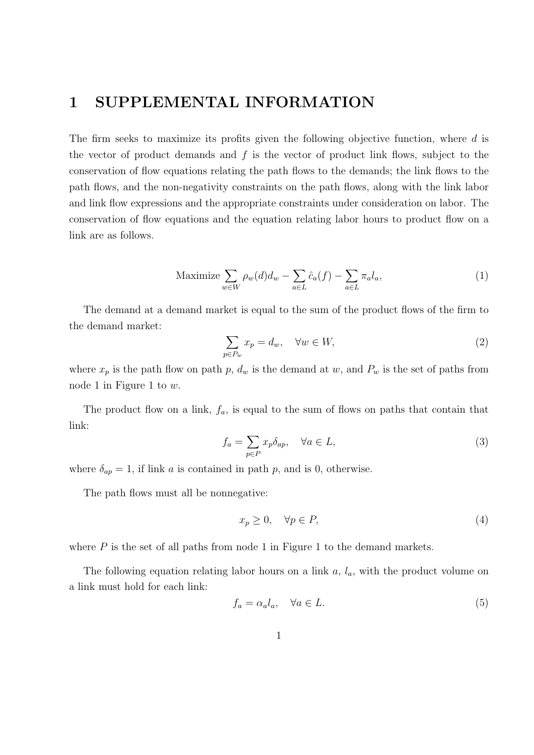# 1 SUPPLEMENTAL INFORMATION

The firm seeks to maximize its profits given the following objective function, where d is the vector of product demands and  $f$  is the vector of product link flows, subject to the conservation of flow equations relating the path flows to the demands; the link flows to the path flows, and the non-negativity constraints on the path flows, along with the link labor and link flow expressions and the appropriate constraints under consideration on labor. The conservation of flow equations and the equation relating labor hours to product flow on a link are as follows.

Maximize 
$$
\sum_{w \in W} \rho_w(d) d_w - \sum_{a \in L} \hat{c}_a(f) - \sum_{a \in L} \pi_a l_a,
$$
 (1)

The demand at a demand market is equal to the sum of the product flows of the firm to the demand market:

$$
\sum_{p \in P_w} x_p = d_w, \quad \forall w \in W,\tag{2}
$$

where  $x_p$  is the path flow on path p,  $d_w$  is the demand at w, and  $P_w$  is the set of paths from node 1 in Figure 1 to  $w$ .

The product flow on a link,  $f_a$ , is equal to the sum of flows on paths that contain that link:

$$
f_a = \sum_{p \in P} x_p \delta_{ap}, \quad \forall a \in L,
$$
\n(3)

where  $\delta_{ap} = 1$ , if link a is contained in path p, and is 0, otherwise.

The path flows must all be nonnegative:

$$
x_p \ge 0, \quad \forall p \in P,\tag{4}
$$

where  $P$  is the set of all paths from node 1 in Figure 1 to the demand markets.

The following equation relating labor hours on a link  $a, l_a$ , with the product volume on a link must hold for each link:

$$
f_a = \alpha_a l_a, \quad \forall a \in L. \tag{5}
$$